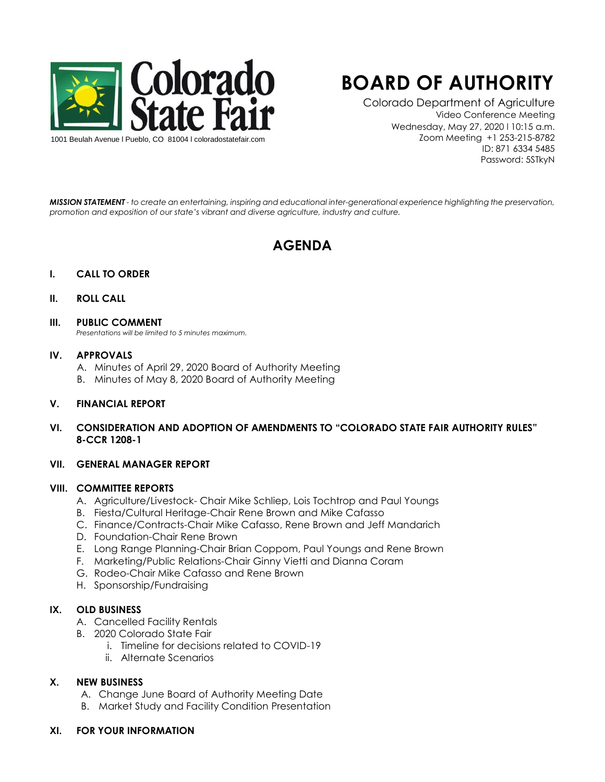

# **BOARD OF AUTHORITY**

Colorado Department of Agriculture Video Conference Meeting Wednesday, May 27, 2020 l 10:15 a.m. Zoom Meeting +1 253-215-8782 ID: 871 6334 5485 Password: 5STkyN

*MISSION STATEMENT - to create an entertaining, inspiring and educational inter-generational experience highlighting the preservation, promotion and exposition of our state's vibrant and diverse agriculture, industry and culture.*

# **AGENDA**

#### **I. CALL TO ORDER**

#### **II. ROLL CALL**

#### **III. PUBLIC COMMENT**

*Presentations will be limited to 5 minutes maximum.* 

#### **IV. APPROVALS**

- A. Minutes of April 29, 2020 Board of Authority Meeting
- B. Minutes of May 8, 2020 Board of Authority Meeting

#### **V. FINANCIAL REPORT**

**VI. CONSIDERATION AND ADOPTION OF AMENDMENTS TO "COLORADO STATE FAIR AUTHORITY RULES" 8-CCR 1208-1**

#### **VII. GENERAL MANAGER REPORT**

#### **VIII. COMMITTEE REPORTS**

- A. Agriculture/Livestock- Chair Mike Schliep, Lois Tochtrop and Paul Youngs
- B. Fiesta/Cultural Heritage-Chair Rene Brown and Mike Cafasso
- C. Finance/Contracts-Chair Mike Cafasso, Rene Brown and Jeff Mandarich
- D. Foundation-Chair Rene Brown
- E. Long Range Planning-Chair Brian Coppom, Paul Youngs and Rene Brown
- F. Marketing/Public Relations-Chair Ginny Vietti and Dianna Coram
- G. Rodeo-Chair Mike Cafasso and Rene Brown
- H. Sponsorship/Fundraising

#### **IX. OLD BUSINESS**

- A. Cancelled Facility Rentals
- B. 2020 Colorado State Fair
	- i. Timeline for decisions related to COVID-19
	- ii. Alternate Scenarios

#### **X. NEW BUSINESS**

- A. Change June Board of Authority Meeting Date
- B. Market Study and Facility Condition Presentation

### **XI. FOR YOUR INFORMATION**